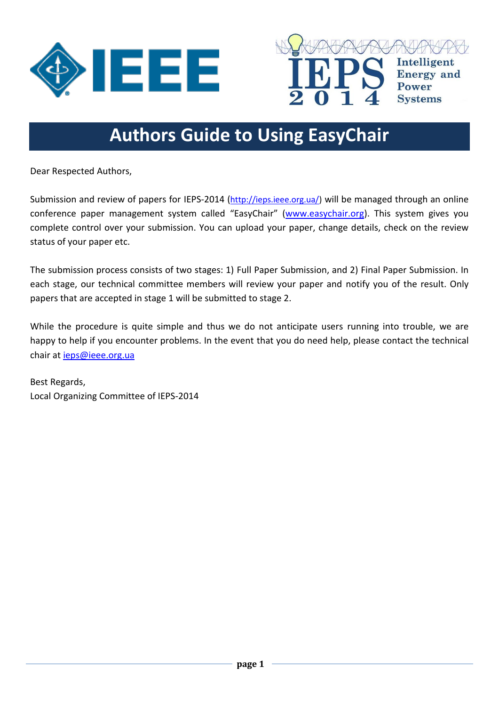



**Systems** 

# **Authors Guide to Using EasyChair**

Dear Respected Authors,

Submission and review of papers for IEPS-2014 ([http://ieps.ieee.org.ua/\)](http://ieps.ieee.org.ua/) will be managed through an online conference paper management system called "EasyChair" ([www.easychair.org\)](http://www.easychair.org/). This system gives you complete control over your submission. You can upload your paper, change details, check on the review status of your paper etc.

The submission process consists of two stages: 1) Full Paper Submission, and 2) Final Paper Submission. In each stage, our technical committee members will review your paper and notify you of the result. Only papers that are accepted in stage 1 will be submitted to stage 2.

While the procedure is quite simple and thus we do not anticipate users running into trouble, we are happy to help if you encounter problems. In the event that you do need help, please contact the technical chair at [ieps@ieee.org.ua](mailto:ieps@ieee.org.ua)

Best Regards, Local Organizing Committee of IEPS-2014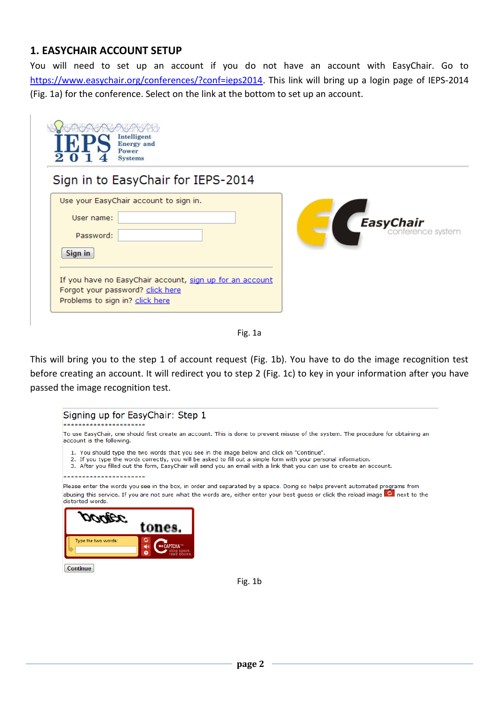#### **1. EASYCHAIR ACCOUNT SETUP**

You will need to set up an account if you do not have an account with EasyChair. Go to [https://www.easychair.org/conferences/?conf=ieps2014.](https://www.easychair.org/conferences/?conf=ieps2014) This link will bring up a login page of IEPS-2014 (Fig. 1a) for the conference. Select on the link at the bottom to set up an account.

| Intelligent<br><b>Energy</b> and<br>Power<br><b>Systems</b>                                                                                                                                                                                           |                                       |
|-------------------------------------------------------------------------------------------------------------------------------------------------------------------------------------------------------------------------------------------------------|---------------------------------------|
| Sign in to EasyChair for IEPS-2014<br>Use your EasyChair account to sign in.<br>User name:<br>Password:<br>Sign in<br>If you have no EasyChair account, sign up for an account<br>Forgot your password? click here<br>Problems to sign in? click here | <b>EasyChair</b><br>conference system |



This will bring you to the step 1 of account request (Fig. 1b). You have to do the image recognition test before creating an account. It will redirect you to step 2 (Fig. 1c) to key in your information after you have passed the image recognition test.



Fig. 1b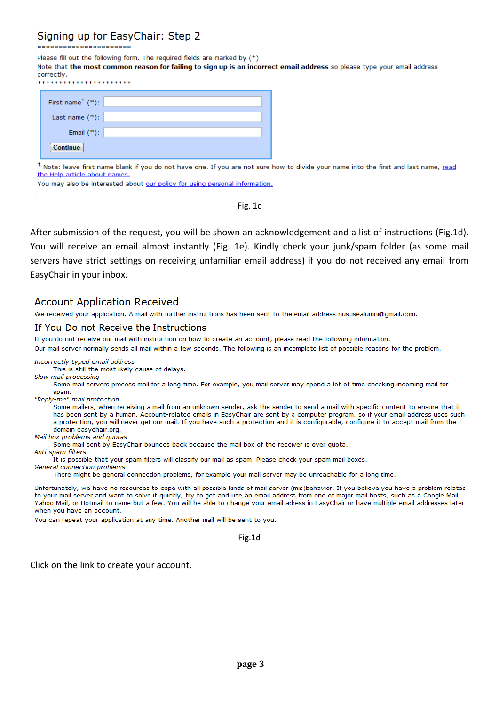# Signing up for EasyChair: Step 2

Please fill out the following form. The required fields are marked by (\*)

Note that the most common reason for failing to sign up is an incorrect email address so please type your email address correctly.

| First name <sup><math>+</math></sup> (*): |
|-------------------------------------------|
| Last name $(*)$ :                         |
| Email $(*)$ :                             |
| <b>Continue</b>                           |

<sup>†</sup> Note: leave first name blank if you do not have one. If you are not sure how to divide your name into the first and last name, read the Help article about names.

You may also be interested about our policy for using personal information.

Fig. 1c

After submission of the request, you will be shown an acknowledgement and a list of instructions (Fig.1d). You will receive an email almost instantly (Fig. 1e). Kindly check your junk/spam folder (as some mail servers have strict settings on receiving unfamiliar email address) if you do not received any email from EasyChair in your inbox.

#### **Account Application Received**

We received your application. A mail with further instructions has been sent to the email address nus.isealumni@gmail.com.

#### If You Do not Receive the Instructions

If you do not receive our mail with instruction on how to create an account, please read the following information.

Our mail server normally sends all mail within a few seconds. The following is an incomplete list of possible reasons for the problem.

Incorrectly typed email address

This is still the most likely cause of delays. Slow mail processing

Some mail servers process mail for a long time. For example, you mail server may spend a lot of time checking incoming mail for spam.

"Reply-me" mail protection.

Some mailers, when receiving a mail from an unknown sender, ask the sender to send a mail with specific content to ensure that it has been sent by a human. Account-related emails in EasyChair are sent by a computer program, so if your email address uses such a protection, you will never get our mail. If you have such a protection and it is configurable, configure it to accept mail from the domain easychair org.

Mail box problems and quotas

Some mail sent by EasyChair bounces back because the mail box of the receiver is over quota.

Anti-spam filters

It is possible that your spam filters will classify our mail as spam. Please check your spam mail boxes.

General connection problems

There might be general connection problems, for example your mail server may be unreachable for a long time.

Unfortunately, we have no resources to cope with all possible kinds of mail server (mis)behavior. If you believe you have a problem related to your mail server and want to solve it quickly, try to get and use an email address from one of major mail hosts, such as a Google Mail, Yahoo Mail, or Hotmail to name but a few. You will be able to change your email adress in EasyChair or have multiple email addresses later when you have an account.

You can repeat your application at any time. Another mail will be sent to you.

Fig.1d

Click on the link to create your account.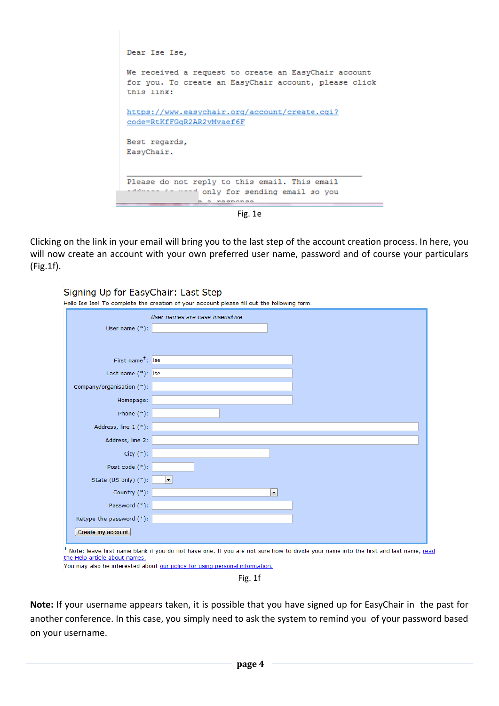

Clicking on the link in your email will bring you to the last step of the account creation process. In here, you will now create an account with your own preferred user name, password and of course your particulars (Fig.1f).

| Signing Up for EasyChair: Last Step | Hello Ise Ise! To complete the creation of your account please fill out the following form. |
|-------------------------------------|---------------------------------------------------------------------------------------------|
| User name $(*)$ :                   | User names are case-insensitive                                                             |
| First name <sup>+</sup> : Ise       |                                                                                             |
| Last name $(*)$ : Ise               |                                                                                             |
| Company/organisation (*):           |                                                                                             |
| Homepage:                           |                                                                                             |
| Phone $(*)$ :                       |                                                                                             |
| Address, line 1 (*):                |                                                                                             |
| Address, line 2:                    |                                                                                             |
| City $(*)$ :                        |                                                                                             |
| Post code (*):                      |                                                                                             |
| State (US only) (*):                | $\blacktriangledown$                                                                        |
| Country $(*)$ :                     | $\blacktriangledown$                                                                        |
| Password (*):                       |                                                                                             |
| Retype the password (*):            |                                                                                             |
| Create my account                   |                                                                                             |

to divide your name into the first and last name, read the Help article about names.

You may also be interested about our policy for using personal information.

Fig. 1f

**Note:** If your username appears taken, it is possible that you have signed up for EasyChair in the past for another conference. In this case, you simply need to ask the system to remind you of your password based on your username.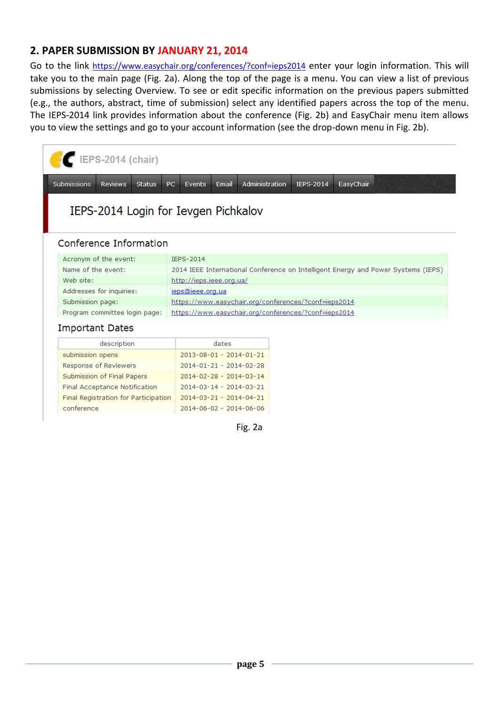# **2. PAPER SUBMISSION BY JANUARY 21, 2014**

Go to the link <https://www.easychair.org/conferences/?conf=ieps2014> enter your login information. This will take you to the main page (Fig. 2a). Along the top of the page is a menu. You can view a list of previous submissions by selecting Overview. To see or edit specific information on the previous papers submitted (e.g., the authors, abstract, time of submission) select any identified papers across the top of the menu. The IEPS-2014 link provides information about the conference (Fig. 2b) and EasyChair menu item allows you to view the settings and go to your account information (see the drop-down menu in Fig. 2b).

|                                      | <b>IEPS-2014 (chair)</b>                              |                                                                                        |  |  |  |  |
|--------------------------------------|-------------------------------------------------------|----------------------------------------------------------------------------------------|--|--|--|--|
|                                      | <b>Submissions</b><br><b>Reviews</b><br><b>Status</b> | <b>PC</b><br>Administration<br>EasyChair<br><b>Email</b><br><b>IEPS-2014</b><br>Events |  |  |  |  |
| IEPS-2014 Login for Ievgen Pichkalov |                                                       |                                                                                        |  |  |  |  |
|                                      | Conference Information                                |                                                                                        |  |  |  |  |
|                                      | Acronym of the event:                                 | IEPS-2014                                                                              |  |  |  |  |
|                                      | Name of the event:                                    | 2014 IEEE International Conference on Intelligent Energy and Power Systems (IEPS)      |  |  |  |  |
|                                      | Web site:                                             | http://ieps.ieee.org.ua/                                                               |  |  |  |  |
|                                      | Addresses for inquiries:                              | jeps@ieee.org.ua                                                                       |  |  |  |  |
|                                      | Submission page:                                      | https://www.easychair.org/conferences/?conf=ieps2014                                   |  |  |  |  |
|                                      | Program committee login page:                         | https://www.easychair.org/conferences/?conf=ieps2014                                   |  |  |  |  |
| <b>Important Dates</b>               |                                                       |                                                                                        |  |  |  |  |
|                                      | description                                           | dates                                                                                  |  |  |  |  |
|                                      | submission opens                                      | 2013-08-01 - 2014-01-21                                                                |  |  |  |  |
|                                      | Response of Reviewers                                 | 2014-01-21 - 2014-02-28                                                                |  |  |  |  |

| submission opens                     | ZUI3-U8-UI - ZUI4-UI-ZI |
|--------------------------------------|-------------------------|
| Response of Reviewers                | 2014-01-21 - 2014-02-28 |
| Submission of Final Papers           | 2014-02-28 - 2014-03-14 |
| Final Acceptance Notification        | 2014-03-14 - 2014-03-21 |
| Final Registration for Participation | 2014-03-21 - 2014-04-21 |
| conference                           | 2014-06-02 - 2014-06-06 |
|                                      |                         |

Fig. 2a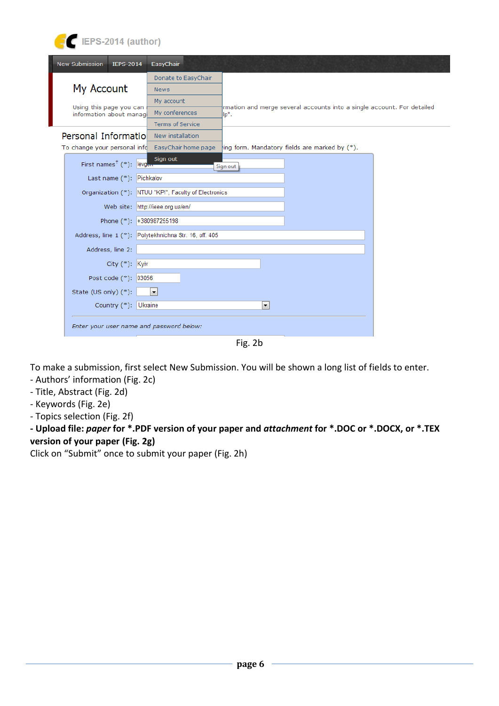| <b>New Submission</b><br><b>IEPS-2014</b> | EasyChair                                                                            |
|-------------------------------------------|--------------------------------------------------------------------------------------|
|                                           | Donate to EasyChair                                                                  |
| My Account                                | <b>News</b>                                                                          |
| Using this page you can                   | My account<br>rmation and merge several accounts into a single account. For detailed |
| information about manage                  | My conferences<br>lp".                                                               |
|                                           | <b>Terms of Service</b>                                                              |
| Personal Informatiol                      | New installation                                                                     |
| To change your personal info              | EasyChair home page<br>ing form. Mandatory fields are marked by (*).                 |
| First names <sup>†</sup> (*): levgen      | Sign out<br>Sign out                                                                 |
| Last name (*): Pichkalov                  |                                                                                      |
|                                           | Organization (*): NTUU "KPI", Faculty of Electronics                                 |
|                                           | Web site: http://ieee.org.ua/en/                                                     |
|                                           | Phone (*): +380987255198                                                             |
|                                           | Address, line 1 (*): Polytekhnichna Str. 16, off. 405                                |
| Address, line 2:                          |                                                                                      |
| City (*): Kyiv                            |                                                                                      |
| Post code (*): 03056                      |                                                                                      |
| State (US only) (*):                      | $\blacktriangledown$                                                                 |
| Country (*): Ukraine                      | $\overline{\phantom{a}}$                                                             |
| Enter your user name and password below:  |                                                                                      |

Fig. 2b

To make a submission, first select New Submission. You will be shown a long list of fields to enter.

‐ Authors' information (Fig. 2c)

E EPS-2014 (author)

- ‐ Title, Abstract (Fig. 2d)
- ‐ Keywords (Fig. 2e)
- ‐ Topics selection (Fig. 2f)

**‐ Upload file:** *paper* **for \*.PDF version of your paper and** *attachment* **for \*.DOC or \*.DOCX, or \*.TEX version of your paper (Fig. 2g)**

Click on "Submit" once to submit your paper (Fig. 2h)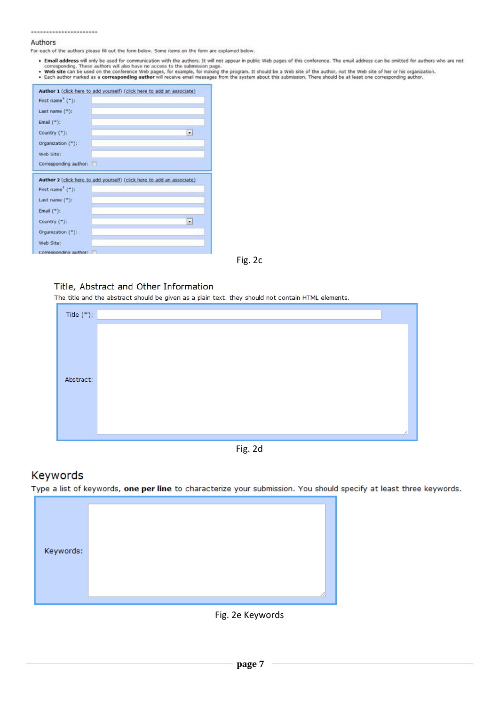#### $\label{eq:3.1} \begin{split} \mathcal{M} &\equiv \mathcal{M} \otimes \mathcal{M} \otimes \mathcal{M} \otimes \mathcal{M} \otimes \mathcal{M} \otimes \mathcal{M} \otimes \mathcal{M} \otimes \mathcal{M} \otimes \mathcal{M} \otimes \mathcal{M} \otimes \mathcal{M} \otimes \mathcal{M} \otimes \mathcal{M} \otimes \mathcal{M} \otimes \mathcal{M} \otimes \mathcal{M} \otimes \mathcal{M} \otimes \mathcal{M} \otimes \mathcal{M} \otimes \mathcal{M} \otimes \mathcal{M} \otimes \mathcal{M} \ot$

#### Authors

For each of the authors please fill out the form below. Some items on the form are explained below.

- Email address will only be used for communication with the authors. It will not appear in public Web pages of this conference. The email address can be omitted for authors who are not corresponding. These authors will al
- 

|                              | Author 1 (click here to add yourself) (click here to add an associate) |
|------------------------------|------------------------------------------------------------------------|
| First name <sup>+</sup> ("): |                                                                        |
| Last name (*):               |                                                                        |
| Email $(*)$ :                |                                                                        |
| Country ("):                 | Ξ                                                                      |
| Organization ("):            |                                                                        |
| Web Site:                    |                                                                        |
| Corresponding author:        |                                                                        |
|                              |                                                                        |
|                              | Author 2 (click here to add yourself) (click here to add an associate) |
| First name <sup>7</sup> (*): |                                                                        |
| Last name (*):               |                                                                        |
| Email $(*)$ :                |                                                                        |
| Country ("):                 | ₩                                                                      |
| Organization (*):            |                                                                        |
| Web Site:                    |                                                                        |

Fig. 2c

#### Title, Abstract and Other Information

The title and the abstract should be given as a plain text, they should not contain HTML elements.

| Title $(*)$ : |  |
|---------------|--|
|               |  |
|               |  |
| Abstract:     |  |
|               |  |
|               |  |
|               |  |

Fig. 2d

### Keywords

Type a list of keywords, one per line to characterize your submission. You should specify at least three keywords.

| Keywords: |
|-----------|
|-----------|

Fig. 2e Keywords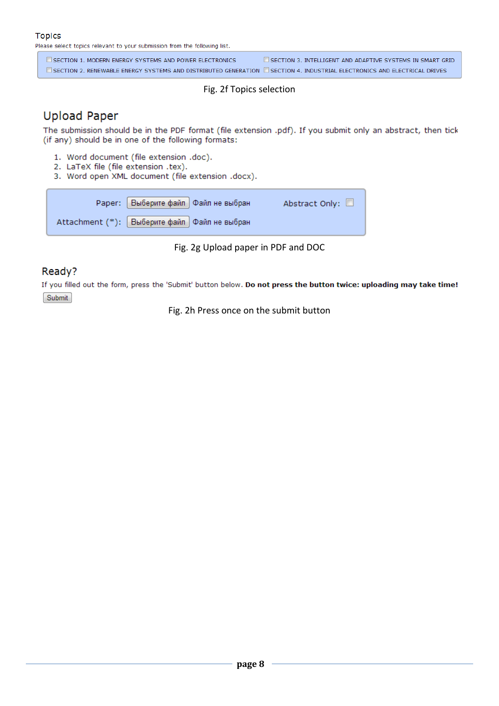#### **Topics**

Please select topics relevant to your submission from the following list.

SECTION 1. MODERN ENERGY SYSTEMS AND POWER ELECTRONICS SECTION 3. INTELLIGENT AND ADAPTIVE SYSTEMS IN SMART GRID **ESECTION 2. RENEWABLE ENERGY SYSTEMS AND DISTRIBUTED GENERATION ESECTION 4. INDUSTRIAL ELECTRONICS AND ELECTRICAL DRIVES** 

#### Fig. 2f Topics selection

# **Upload Paper**

The submission should be in the PDF format (file extension .pdf). If you submit only an abstract, then tick (if any) should be in one of the following formats:

- 1. Word document (file extension .doc).
- 2. LaTeX file (file extension .tex).
- 3. Word open XML document (file extension .docx).

|                                                | Рарег: Выберите файл Файл не выбран | Abstract Only: |
|------------------------------------------------|-------------------------------------|----------------|
| Attachment (*): Выберите файл   Файл не выбран |                                     |                |

Fig. 2g Upload paper in PDF and DOC

### Ready?

If you filled out the form, press the 'Submit' button below. Do not press the button twice: uploading may take time! Submit

Fig. 2h Press once on the submit button